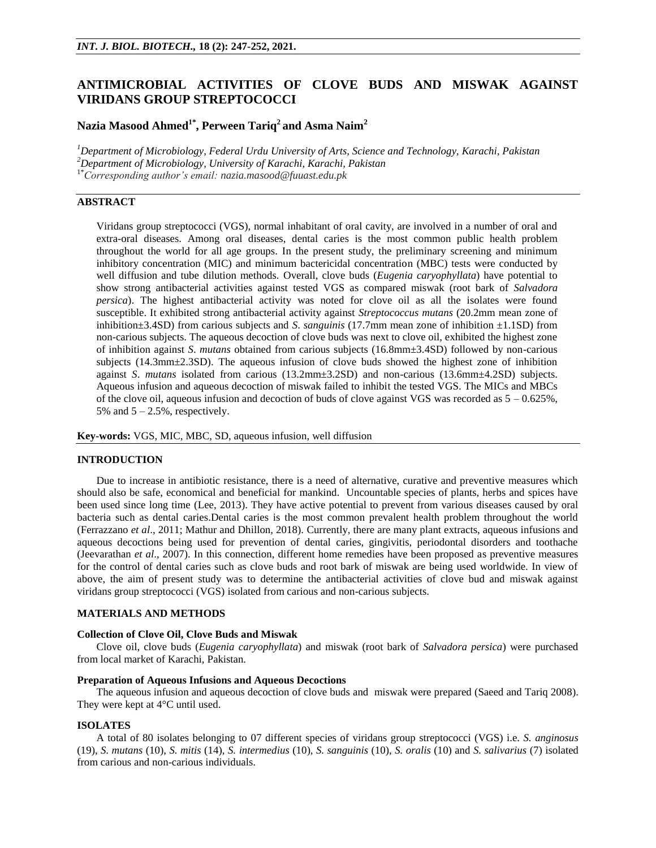# **ANTIMICROBIAL ACTIVITIES OF CLOVE BUDS AND MISWAK AGAINST VIRIDANS GROUP STREPTOCOCCI**

# **Nazia Masood Ahmed1\*, Perween Tariq<sup>2</sup> and Asma Naim<sup>2</sup>**

*<sup>1</sup>Department of Microbiology, Federal Urdu University of Arts, Science and Technology, Karachi, Pakistan <sup>2</sup>Department of Microbiology, University of Karachi, Karachi, Pakistan* 1\**Corresponding author's email: nazia.masood@fuuast.edu.pk*

# **ABSTRACT**

Viridans group streptococci (VGS), normal inhabitant of oral cavity, are involved in a number of oral and extra-oral diseases. Among oral diseases, dental caries is the most common public health problem throughout the world for all age groups. In the present study, the preliminary screening and minimum inhibitory concentration (MIC) and minimum bactericidal concentration (MBC) tests were conducted by well diffusion and tube dilution methods. Overall, clove buds (*Eugenia caryophyllata*) have potential to show strong antibacterial activities against tested VGS as compared miswak (root bark of *Salvadora persica*). The highest antibacterial activity was noted for clove oil as all the isolates were found susceptible. It exhibited strong antibacterial activity against *Streptococcus mutans* (20.2mm mean zone of inhibition±3.4SD) from carious subjects and *S*. *sanguinis* (17.7mm mean zone of inhibition ±1.1SD) from non-carious subjects. The aqueous decoction of clove buds was next to clove oil, exhibited the highest zone of inhibition against *S*. *mutans* obtained from carious subjects (16.8mm±3.4SD) followed by non-carious subjects (14.3mm $\pm$ 2.3SD). The aqueous infusion of clove buds showed the highest zone of inhibition against *S*. *mutans* isolated from carious (13.2mm±3.2SD) and non-carious (13.6mm±4.2SD) subjects. Aqueous infusion and aqueous decoction of miswak failed to inhibit the tested VGS. The MICs and MBCs of the clove oil, aqueous infusion and decoction of buds of clove against VGS was recorded as  $5 - 0.625\%$ , 5% and  $5 - 2.5%$ , respectively.

**Key-words:** VGS, MIC, MBC, SD, aqueous infusion, well diffusion

## **INTRODUCTION**

Due to increase in antibiotic resistance, there is a need of alternative, curative and preventive measures which should also be safe, economical and beneficial for mankind. Uncountable species of plants, herbs and spices have been used since long time (Lee, 2013). They have active potential to prevent from various diseases caused by oral bacteria such as dental caries.Dental caries is the most common prevalent health problem throughout the world (Ferrazzano *et al*., 2011; Mathur and Dhillon, 2018). Currently, there are many plant extracts, aqueous infusions and aqueous decoctions being used for prevention of dental caries, gingivitis, periodontal disorders and toothache (Jeevarathan *et al*., 2007). In this connection, different home remedies have been proposed as preventive measures for the control of dental caries such as clove buds and root bark of miswak are being used worldwide. In view of above, the aim of present study was to determine the antibacterial activities of clove bud and miswak against viridans group streptococci (VGS) isolated from carious and non-carious subjects.

## **MATERIALS AND METHODS**

## **Collection of Clove Oil, Clove Buds and Miswak**

Clove oil, clove buds (*Eugenia caryophyllata*) and miswak (root bark of *Salvadora persica*) were purchased from local market of Karachi, Pakistan.

## **Preparation of Aqueous Infusions and Aqueous Decoctions**

The aqueous infusion and aqueous decoction of clove buds and miswak were prepared (Saeed and Tariq 2008). They were kept at 4°C until used.

### **ISOLATES**

A total of 80 isolates belonging to 07 different species of viridans group streptococci (VGS) i.e. *S. anginosus* (19), *S. mutans* (10), *S. mitis* (14), *S. intermedius* (10), *S. sanguinis* (10), *S. oralis* (10) and *S. salivarius* (7) isolated from carious and non-carious individuals.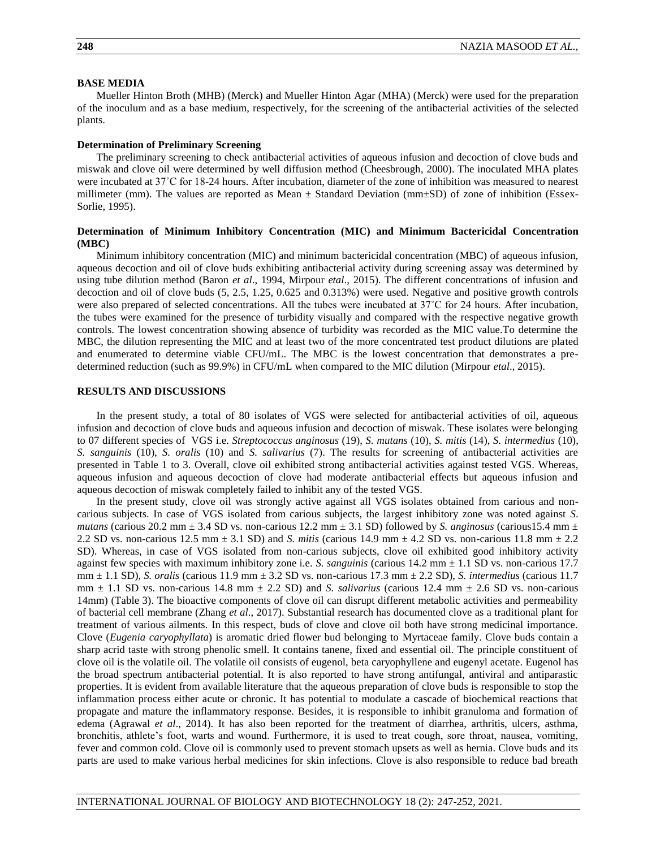## **BASE MEDIA**

Mueller Hinton Broth (MHB) (Merck) and Mueller Hinton Agar (MHA) (Merck) were used for the preparation of the inoculum and as a base medium, respectively, for the screening of the antibacterial activities of the selected plants.

#### **Determination of Preliminary Screening**

The preliminary screening to check antibacterial activities of aqueous infusion and decoction of clove buds and miswak and clove oil were determined by well diffusion method (Cheesbrough, 2000). The inoculated MHA plates were incubated at 37˚C for 18-24 hours. After incubation, diameter of the zone of inhibition was measured to nearest millimeter (mm). The values are reported as Mean  $\pm$  Standard Deviation (mm $\pm$ SD) of zone of inhibition (Essex-Sorlie, 1995).

## **Determination of Minimum Inhibitory Concentration (MIC) and Minimum Bactericidal Concentration (MBC)**

Minimum inhibitory concentration (MIC) and minimum bactericidal concentration (MBC) of aqueous infusion, aqueous decoction and oil of clove buds exhibiting antibacterial activity during screening assay was determined by using tube dilution method (Baron *et al*., 1994, Mirpour *etal*., 2015). The different concentrations of infusion and decoction and oil of clove buds (5, 2.5, 1.25, 0.625 and 0.313%) were used. Negative and positive growth controls were also prepared of selected concentrations. All the tubes were incubated at 37°C for 24 hours. After incubation, the tubes were examined for the presence of turbidity visually and compared with the respective negative growth controls. The lowest concentration showing absence of turbidity was recorded as the MIC value.To determine the MBC, the dilution representing the MIC and at least two of the more concentrated test product dilutions are plated and enumerated to determine viable CFU/mL. The MBC is the lowest concentration that demonstrates a predetermined reduction (such as 99.9%) in CFU/mL when compared to the MIC dilution (Mirpour *etal*., 2015).

### **RESULTS AND DISCUSSIONS**

In the present study, a total of 80 isolates of VGS were selected for antibacterial activities of oil, aqueous infusion and decoction of clove buds and aqueous infusion and decoction of miswak. These isolates were belonging to 07 different species of VGS i.e. *Streptococcus anginosus* (19), *S. mutans* (10), *S. mitis* (14), *S. intermedius* (10), *S. sanguinis* (10), *S. oralis* (10) and *S. salivarius* (7). The results for screening of antibacterial activities are presented in Table 1 to 3. Overall, clove oil exhibited strong antibacterial activities against tested VGS. Whereas, aqueous infusion and aqueous decoction of clove had moderate antibacterial effects but aqueous infusion and aqueous decoction of miswak completely failed to inhibit any of the tested VGS.

In the present study, clove oil was strongly active against all VGS isolates obtained from carious and noncarious subjects. In case of VGS isolated from carious subjects, the largest inhibitory zone was noted against *S*. *mutans* (carious 20.2 mm  $\pm$  3.4 SD vs. non-carious 12.2 mm  $\pm$  3.1 SD) followed by *S. anginosus* (carious15.4 mm  $\pm$ 2.2 SD vs. non-carious 12.5 mm ± 3.1 SD) and *S. mitis* (carious 14.9 mm ± 4.2 SD vs. non-carious 11.8 mm ± 2.2 SD). Whereas, in case of VGS isolated from non-carious subjects, clove oil exhibited good inhibitory activity against few species with maximum inhibitory zone i.e. *S. sanguinis* (carious 14.2 mm ± 1.1 SD vs. non-carious 17.7 mm ± 1.1 SD), *S. oralis* (carious 11.9 mm ± 3.2 SD vs. non-carious 17.3 mm ± 2.2 SD), *S. intermedius* (carious 11.7  $mm \pm 1.1$  SD vs. non-carious 14.8 mm  $\pm$  2.2 SD) and *S. salivarius* (carious 12.4 mm  $\pm$  2.6 SD vs. non-carious 14mm) (Table 3). The bioactive components of clove oil can disrupt different metabolic activities and permeability of bacterial cell membrane (Zhang *et al*., 2017). Substantial research has documented clove as a traditional plant for treatment of various ailments. In this respect, buds of clove and clove oil both have strong medicinal importance. Clove (*Eugenia caryophyllata*) is aromatic dried flower bud belonging to Myrtaceae family. Clove buds contain a sharp acrid taste with strong phenolic smell. It contains tanene, fixed and essential oil. The principle constituent of clove oil is the volatile oil. The volatile oil consists of eugenol, beta caryophyllene and eugenyl acetate. Eugenol has the broad spectrum antibacterial potential. It is also reported to have strong antifungal, antiviral and antiparastic properties. It is evident from available literature that the aqueous preparation of clove buds is responsible to stop the inflammation process either acute or chronic. It has potential to modulate a cascade of biochemical reactions that propagate and mature the inflammatory response. Besides, it is responsible to inhibit granuloma and formation of edema (Agrawal *et al*., 2014). It has also been reported for the treatment of diarrhea, arthritis, ulcers, asthma, bronchitis, athlete's foot, warts and wound. Furthermore, it is used to treat cough, sore throat, nausea, vomiting, fever and common cold. Clove oil is commonly used to prevent stomach upsets as well as hernia. Clove buds and its parts are used to make various herbal medicines for skin infections. Clove is also responsible to reduce bad breath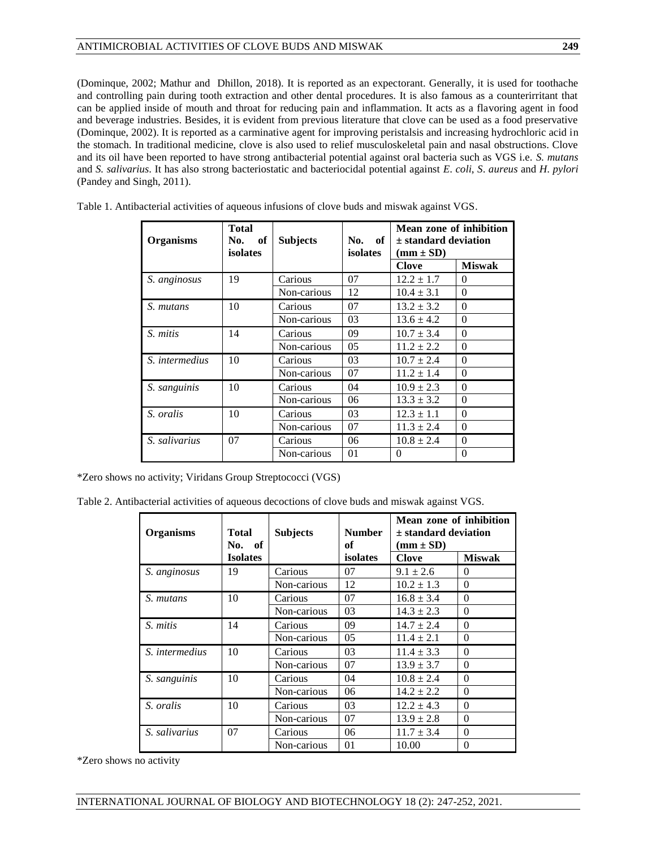(Dominque, 2002; Mathur and Dhillon, 2018). It is reported as an expectorant. Generally, it is used for toothache and controlling pain during tooth extraction and other dental procedures. It is also famous as a counterirritant that can be applied inside of mouth and throat for reducing pain and inflammation. It acts as a flavoring agent in food and beverage industries. Besides, it is evident from previous literature that clove can be used as a food preservative (Dominque, 2002). It is reported as a carminative agent for improving peristalsis and increasing hydrochloric acid in the stomach. In traditional medicine, clove is also used to relief musculoskeletal pain and nasal obstructions. Clove and its oil have been reported to have strong antibacterial potential against oral bacteria such as VGS i.e. *S. mutans* and *S. salivarius*. It has also strong bacteriostatic and bacteriocidal potential against *E*. *coli*, *S*. *aureus* and *H*. *pylori*  (Pandey and Singh, 2011).

| <b>Organisms</b> | <b>Total</b><br>of<br>No.<br>isolates | <b>Subjects</b> | <sub>of</sub><br>No.<br>isolates | Mean zone of inhibition<br>$\pm$ standard deviation<br>$(mm \pm SD)$ |               |
|------------------|---------------------------------------|-----------------|----------------------------------|----------------------------------------------------------------------|---------------|
|                  |                                       |                 |                                  | <b>Clove</b>                                                         | <b>Miswak</b> |
| S. anginosus     | 19                                    | Carious         | 07                               | $12.2 \pm 1.7$                                                       | $\Omega$      |
|                  |                                       | Non-carious     | 12                               | $10.4 \pm 3.1$                                                       | $\Omega$      |
| S. mutans        | 10                                    | Carious         | 07                               | $13.2 \pm 3.2$                                                       | $\Omega$      |
|                  |                                       | Non-carious     | 03                               | $13.6 \pm 4.2$                                                       | $\theta$      |
| S. mitis         | 14                                    | Carious         | 09                               | $10.7 \pm 3.4$                                                       | $\Omega$      |
|                  |                                       | Non-carious     | 05                               | $11.2 \pm 2.2$                                                       | $\theta$      |
| S. intermedius   | 10                                    |                 | 03                               | $10.7 \pm 2.4$                                                       | $\Omega$      |
|                  |                                       | Non-carious     | 07                               | $11.2 \pm 1.4$                                                       | $\theta$      |
| S. sanguinis     | 10                                    |                 | 04                               | $10.9 \pm 2.3$                                                       | $\Omega$      |
|                  |                                       | Non-carious     | 06                               | $13.3 \pm 3.2$                                                       | $\Omega$      |
| S. oralis        | 10                                    | Carious         | 03                               | $12.3 \pm 1.1$                                                       | $\Omega$      |
|                  | Non-carious                           |                 | 07                               | $11.3 \pm 2.4$                                                       | $\theta$      |
| S. salivarius    | 07                                    | Carious         | 06                               | $10.8 \pm 2.4$                                                       | $\Omega$      |
|                  |                                       | Non-carious     | 01                               | 0                                                                    | $\theta$      |

Table 1. Antibacterial activities of aqueous infusions of clove buds and miswak against VGS.

\*Zero shows no activity; Viridans Group Streptococci (VGS)

Table 2. Antibacterial activities of aqueous decoctions of clove buds and miswak against VGS.

| <b>Organisms</b> | Total<br>No. of | <b>Subjects</b> | <b>Number</b><br>of | Mean zone of inhibition<br>$\pm$ standard deviation<br>$(mm \pm SD)$ |               |
|------------------|-----------------|-----------------|---------------------|----------------------------------------------------------------------|---------------|
|                  | <b>Isolates</b> |                 | isolates            | <b>Clove</b>                                                         | <b>Miswak</b> |
| S. anginosus     | 19              | Carious         | 07                  | $9.1 \pm 2.6$                                                        | 0             |
|                  |                 | Non-carious     | 12                  | $10.2 \pm 1.3$                                                       | $\theta$      |
| S. mutans        | 10              | Carious         | 07                  | $16.8 \pm 3.4$                                                       | $\Omega$      |
|                  |                 | Non-carious     | 03                  | $14.3 \pm 2.3$                                                       | $\Omega$      |
| S. mitis         | 14              | Carious         | 09                  | $14.7 \pm 2.4$                                                       | $\Omega$      |
|                  |                 | Non-carious     | 0 <sub>5</sub>      | $11.4 \pm 2.1$                                                       | $\Omega$      |
| S. intermedius   | 10              | Carious         | 03                  | $11.4 \pm 3.3$                                                       | 0             |
|                  |                 | Non-carious     | 07                  | $13.9 \pm 3.7$                                                       | $\Omega$      |
| S. sanguinis     | 10<br>Carious   |                 | 04                  | $10.8 \pm 2.4$                                                       | $\Omega$      |
|                  |                 | Non-carious     | 06                  | $14.2 \pm 2.2$                                                       | $\Omega$      |
| S. oralis        | 10<br>Carious   |                 | 03                  | $12.2 \pm 4.3$                                                       | $\theta$      |
|                  |                 | Non-carious     | 07                  | $13.9 \pm 2.8$                                                       | $\theta$      |
| S. salivarius    | 07<br>Carious   |                 | 06                  | $11.7 \pm 3.4$                                                       | $\Omega$      |
| Non-carious      |                 | 01              | 10.00               | $\theta$                                                             |               |

\*Zero shows no activity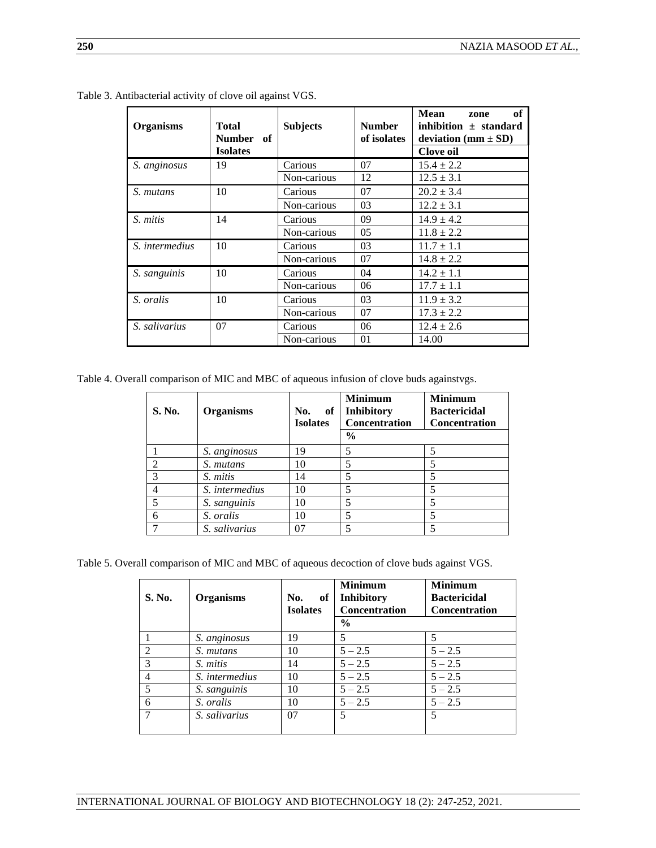| <b>Organisms</b> | <b>Total</b><br><b>Number</b><br>- of<br><b>Isolates</b> | <b>Subjects</b> | <b>Number</b><br>of isolates | <b>Mean</b><br>of<br>zone<br>inhibition $\pm$ standard<br>deviation (mm $\pm$ SD)<br><b>Clove oil</b> |
|------------------|----------------------------------------------------------|-----------------|------------------------------|-------------------------------------------------------------------------------------------------------|
| S. anginosus     | 19                                                       | Carious         | 07                           | $15.4 \pm 2.2$                                                                                        |
|                  |                                                          | Non-carious     | 12                           | $12.5 \pm 3.1$                                                                                        |
| S. mutans        | 10                                                       | Carious         | 07                           | $20.2 \pm 3.4$                                                                                        |
|                  |                                                          | Non-carious     | 03                           | $12.2 \pm 3.1$                                                                                        |
| S. mitis         | 14                                                       | Carious         | 09                           | $14.9 \pm 4.2$                                                                                        |
|                  |                                                          | Non-carious     | 05                           | $11.8 \pm 2.2$                                                                                        |
| S. intermedius   | 10                                                       | Carious         | 03                           | $11.7 \pm 1.1$                                                                                        |
|                  |                                                          | Non-carious     | 07                           | $14.8 \pm 2.2$                                                                                        |
| S. sanguinis     | 10                                                       | Carious         | 04                           | $14.2 \pm 1.1$                                                                                        |
|                  |                                                          | Non-carious     | 06                           | $17.7 \pm 1.1$                                                                                        |
| S. oralis        | 10                                                       | Carious         | 03                           | $11.9 \pm 3.2$                                                                                        |
|                  |                                                          | Non-carious     | 07                           | $17.3 \pm 2.2$                                                                                        |
| S. salivarius    | 07                                                       | Carious         | 06                           | $12.4 \pm 2.6$                                                                                        |
|                  |                                                          | Non-carious     | 01                           | 14.00                                                                                                 |

Table 3. Antibacterial activity of clove oil against VGS.

Table 4. Overall comparison of MIC and MBC of aqueous infusion of clove buds againstvgs.

| S. No. | <b>Organisms</b> | of<br>No.<br><b>Isolates</b> | <b>Minimum</b><br>Inhibitory<br><b>Concentration</b><br>$\frac{0}{0}$ | <b>Minimum</b><br><b>Bactericidal</b><br><b>Concentration</b> |
|--------|------------------|------------------------------|-----------------------------------------------------------------------|---------------------------------------------------------------|
|        | S. anginosus     | 19                           | 5                                                                     | 5                                                             |
| 2      | S. mutans        | 10                           | 5                                                                     | 5                                                             |
| 3      | S. mitis         | 14                           | 5                                                                     | 5                                                             |
| 4      | S. intermedius   | 10                           | 5                                                                     | 5                                                             |
|        | S. sanguinis     | 10                           | 5                                                                     | 5                                                             |
| 6      | S. oralis        | 10                           | 5                                                                     | 5                                                             |
|        | S. salivarius    | 07                           | 5                                                                     | 5                                                             |

Table 5. Overall comparison of MIC and MBC of aqueous decoction of clove buds against VGS.

| S. No.         | <b>Organisms</b> | of<br>No.<br><b>Isolates</b> | <b>Minimum</b><br><b>Inhibitory</b><br>Concentration<br>$\frac{6}{9}$ | <b>Minimum</b><br><b>Bactericidal</b><br><b>Concentration</b> |
|----------------|------------------|------------------------------|-----------------------------------------------------------------------|---------------------------------------------------------------|
|                |                  |                              |                                                                       |                                                               |
|                | S. anginosus     | 19                           | 5                                                                     | 5                                                             |
| 2              | S. mutans        | 10                           | $5 - 2.5$                                                             | $5 - 2.5$                                                     |
| $\mathcal{R}$  | S. mitis         | 14                           | $5 - 2.5$                                                             | $5 - 2.5$                                                     |
| $\overline{4}$ | S. intermedius   | 10                           | $5 - 2.5$                                                             | $5 - 2.5$                                                     |
| 5              | S. sanguinis     | 10                           | $5 - 2.5$                                                             | $5 - 2.5$                                                     |
| 6              | S. oralis        | 10                           | $5 - 2.5$                                                             | $5 - 2.5$                                                     |
|                | S. salivarius    | 07                           | 5                                                                     | 5                                                             |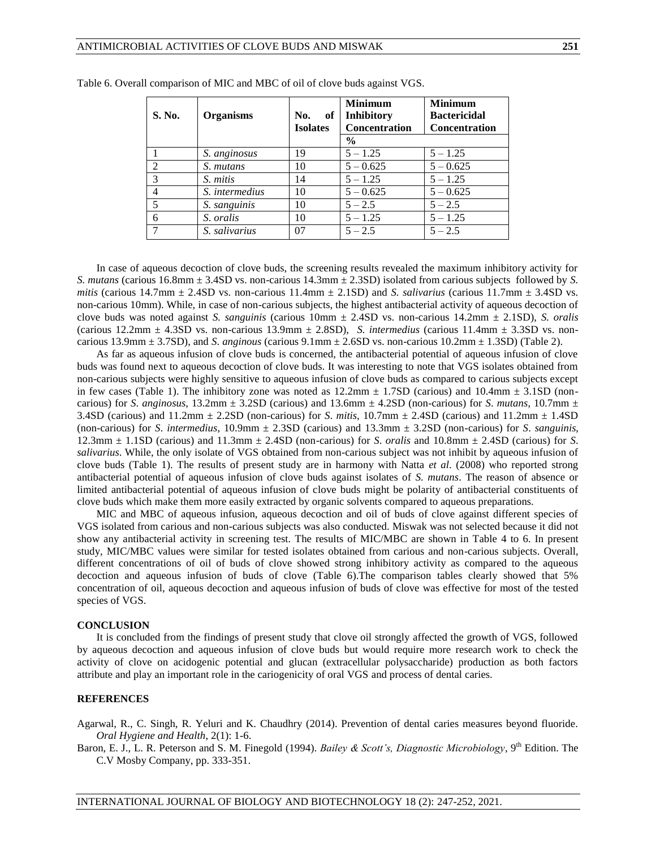| S. No.        | <b>Organisms</b> | No.<br>of<br><b>Isolates</b> | <b>Minimum</b><br><b>Inhibitory</b><br><b>Concentration</b> | <b>Minimum</b><br><b>Bactericidal</b><br><b>Concentration</b> |
|---------------|------------------|------------------------------|-------------------------------------------------------------|---------------------------------------------------------------|
|               |                  |                              | $\%$                                                        |                                                               |
|               | S. anginosus     | 19                           | $5 - 1.25$                                                  | $5 - 1.25$                                                    |
|               | S. mutans        | 10                           | $5 - 0.625$                                                 | $5 - 0.625$                                                   |
| $\mathcal{R}$ | S. mitis         | 14                           | $5 - 1.25$                                                  | $5 - 1.25$                                                    |
|               | S. intermedius   | 10                           | $5 - 0.625$                                                 | $5 - 0.625$                                                   |
| 5             | S. sanguinis     | 10                           | $5 - 2.5$                                                   | $5 - 2.5$                                                     |
| 6             | S. oralis        | 10                           | $5 - 1.25$                                                  | $5 - 1.25$                                                    |
|               | S. salivarius    | 07                           | $5 - 2.5$                                                   | $5 - 2.5$                                                     |

|  |  |  | Table 6. Overall comparison of MIC and MBC of oil of clove buds against VGS. |  |
|--|--|--|------------------------------------------------------------------------------|--|
|  |  |  |                                                                              |  |

In case of aqueous decoction of clove buds, the screening results revealed the maximum inhibitory activity for *S. mutans* (carious 16.8mm ± 3.4SD vs. non-carious 14.3mm ± 2.3SD) isolated from carious subjects followed by *S. mitis* (carious 14.7mm  $\pm$  2.4SD vs. non-carious 11.4mm  $\pm$  2.1SD) and *S. salivarius* (carious 11.7mm  $\pm$  3.4SD vs. non-carious 10mm). While, in case of non-carious subjects, the highest antibacterial activity of aqueous decoction of clove buds was noted against *S. sanguinis* (carious 10mm ± 2.4SD vs. non-carious 14.2mm ± 2.1SD), *S. oralis* (carious 12.2mm ± 4.3SD vs. non-carious 13.9mm ± 2.8SD), *S. intermedius* (carious 11.4mm ± 3.3SD vs. noncarious 13.9mm ± 3.7SD), and *S*. *anginous* (carious 9.1mm ± 2.6SD vs. non-carious 10.2mm ± 1.3SD) (Table 2).

As far as aqueous infusion of clove buds is concerned, the antibacterial potential of aqueous infusion of clove buds was found next to aqueous decoction of clove buds. It was interesting to note that VGS isolates obtained from non-carious subjects were highly sensitive to aqueous infusion of clove buds as compared to carious subjects except in few cases (Table 1). The inhibitory zone was noted as  $12.2 \text{mm} \pm 1.7 \text{SD}$  (carious) and  $10.4 \text{mm} \pm 3.1 \text{SD}$  (noncarious) for *S*. *anginosus*,  $13.2$ mm  $\pm 3.2$ SD (carious) and  $13.6$ mm  $\pm 4.2$ SD (non-carious) for *S. mutans*,  $10.7$ mm  $\pm$ 3.4SD (carious) and 11.2mm ± 2.2SD (non-carious) for *S*. *mitis*, 10.7mm ± 2.4SD (carious) and 11.2mm ± 1.4SD (non-carious) for *S*. *intermedius*, 10.9mm ± 2.3SD (carious) and 13.3mm ± 3.2SD (non-carious) for *S*. *sanguinis*, 12.3mm ± 1.1SD (carious) and 11.3mm ± 2.4SD (non-carious) for *S*. *oralis* and 10.8mm ± 2.4SD (carious) for *S*. *salivarius*. While, the only isolate of VGS obtained from non-carious subject was not inhibit by aqueous infusion of clove buds (Table 1). The results of present study are in harmony with Natta *et al*. (2008) who reported strong antibacterial potential of aqueous infusion of clove buds against isolates of *S. mutans*. The reason of absence or limited antibacterial potential of aqueous infusion of clove buds might be polarity of antibacterial constituents of clove buds which make them more easily extracted by organic solvents compared to aqueous preparations.

MIC and MBC of aqueous infusion, aqueous decoction and oil of buds of clove against different species of VGS isolated from carious and non-carious subjects was also conducted. Miswak was not selected because it did not show any antibacterial activity in screening test. The results of MIC/MBC are shown in Table 4 to 6. In present study, MIC/MBC values were similar for tested isolates obtained from carious and non-carious subjects. Overall, different concentrations of oil of buds of clove showed strong inhibitory activity as compared to the aqueous decoction and aqueous infusion of buds of clove (Table 6).The comparison tables clearly showed that 5% concentration of oil, aqueous decoction and aqueous infusion of buds of clove was effective for most of the tested species of VGS.

#### **CONCLUSION**

It is concluded from the findings of present study that clove oil strongly affected the growth of VGS, followed by aqueous decoction and aqueous infusion of clove buds but would require more research work to check the activity of clove on acidogenic potential and glucan (extracellular polysaccharide) production as both factors attribute and play an important role in the cariogenicity of oral VGS and process of dental caries.

#### **REFERENCES**

Agarwal, R., C. Singh, R. Yeluri and K. Chaudhry (2014). Prevention of dental caries measures beyond fluoride. *Oral Hygiene and Health*, 2(1): 1-6.

Baron, E. J., L. R. Peterson and S. M. Finegold (1994). *Bailey & Scott's, Diagnostic Microbiology*, 9<sup>th</sup> Edition. The C.V Mosby Company, pp. 333-351.